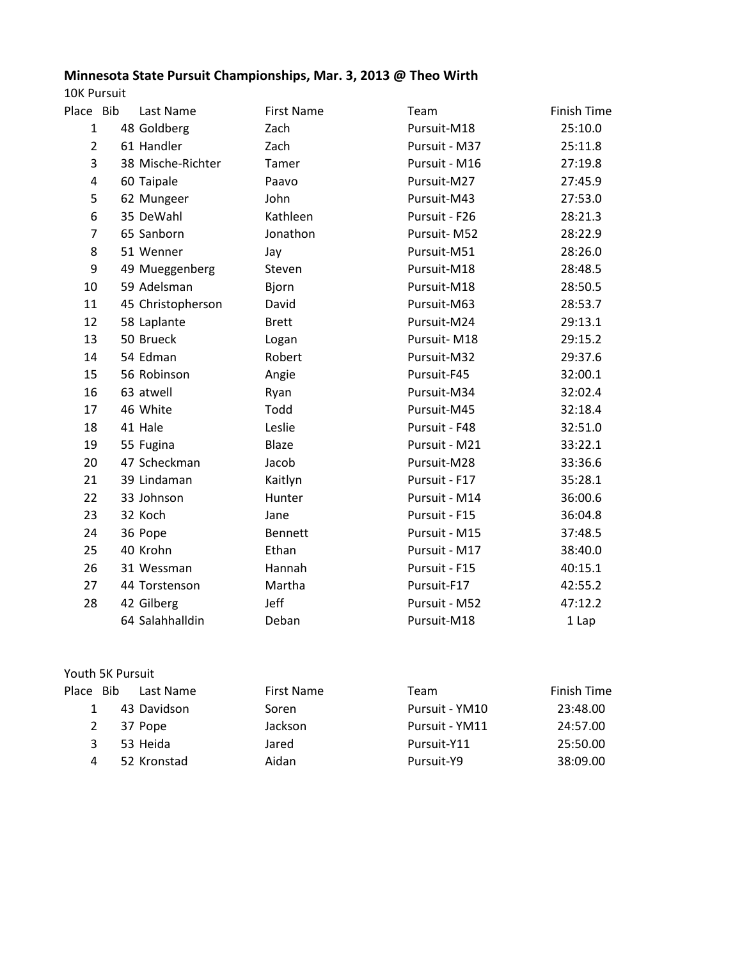## **Minnesota State Pursuit Championships, Mar. 3, 2013 @ Theo Wirth**

10K Pursuit

| Place Bib      | Last Name         | <b>First Name</b> | Team          | <b>Finish Time</b> |
|----------------|-------------------|-------------------|---------------|--------------------|
| $\mathbf{1}$   | 48 Goldberg       | Zach              | Pursuit-M18   | 25:10.0            |
| $\overline{2}$ | 61 Handler        | Zach              | Pursuit - M37 | 25:11.8            |
| 3              | 38 Mische-Richter | Tamer             | Pursuit - M16 | 27:19.8            |
| 4              | 60 Taipale        | Paavo             | Pursuit-M27   | 27:45.9            |
| 5              | 62 Mungeer        | John              | Pursuit-M43   | 27:53.0            |
| 6              | 35 DeWahl         | Kathleen          | Pursuit - F26 | 28:21.3            |
| 7              | 65 Sanborn        | Jonathon          | Pursuit-M52   | 28:22.9            |
| 8              | 51 Wenner         | Jay               | Pursuit-M51   | 28:26.0            |
| 9              | 49 Mueggenberg    | Steven            | Pursuit-M18   | 28:48.5            |
| 10             | 59 Adelsman       | Bjorn             | Pursuit-M18   | 28:50.5            |
| 11             | 45 Christopherson | David             | Pursuit-M63   | 28:53.7            |
| 12             | 58 Laplante       | <b>Brett</b>      | Pursuit-M24   | 29:13.1            |
| 13             | 50 Brueck         | Logan             | Pursuit-M18   | 29:15.2            |
| 14             | 54 Edman          | Robert            | Pursuit-M32   | 29:37.6            |
| 15             | 56 Robinson       | Angie             | Pursuit-F45   | 32:00.1            |
| 16             | 63 atwell         | Ryan              | Pursuit-M34   | 32:02.4            |
| 17             | 46 White          | Todd              | Pursuit-M45   | 32:18.4            |
| 18             | 41 Hale           | Leslie            | Pursuit - F48 | 32:51.0            |
| 19             | 55 Fugina         | Blaze             | Pursuit - M21 | 33:22.1            |
| 20             | 47 Scheckman      | Jacob             | Pursuit-M28   | 33:36.6            |
| 21             | 39 Lindaman       | Kaitlyn           | Pursuit - F17 | 35:28.1            |
| 22             | 33 Johnson        | Hunter            | Pursuit - M14 | 36:00.6            |
| 23             | 32 Koch           | Jane              | Pursuit - F15 | 36:04.8            |
| 24             | 36 Pope           | <b>Bennett</b>    | Pursuit - M15 | 37:48.5            |
| 25             | 40 Krohn          | Ethan             | Pursuit - M17 | 38:40.0            |
| 26             | 31 Wessman        | Hannah            | Pursuit - F15 | 40:15.1            |
| 27             | 44 Torstenson     | Martha            | Pursuit-F17   | 42:55.2            |
| 28             | 42 Gilberg        | Jeff              | Pursuit - M52 | 47:12.2            |
|                | 64 Salahhalldin   | Deban             | Pursuit-M18   | 1 Lap              |
|                |                   |                   |               |                    |

## Youth 5K Pursuit

| Place Bib | Last Name   | First Name | Team           | Finish Time |
|-----------|-------------|------------|----------------|-------------|
|           | 43 Davidson | Soren      | Pursuit - YM10 | 23:48.00    |
| 2         | 37 Pope     | Jackson    | Pursuit - YM11 | 24:57.00    |
| 3.        | 53 Heida    | Jared      | Pursuit-Y11    | 25:50.00    |
|           | 52 Kronstad | Aidan      | Pursuit-Y9     | 38:09.00    |